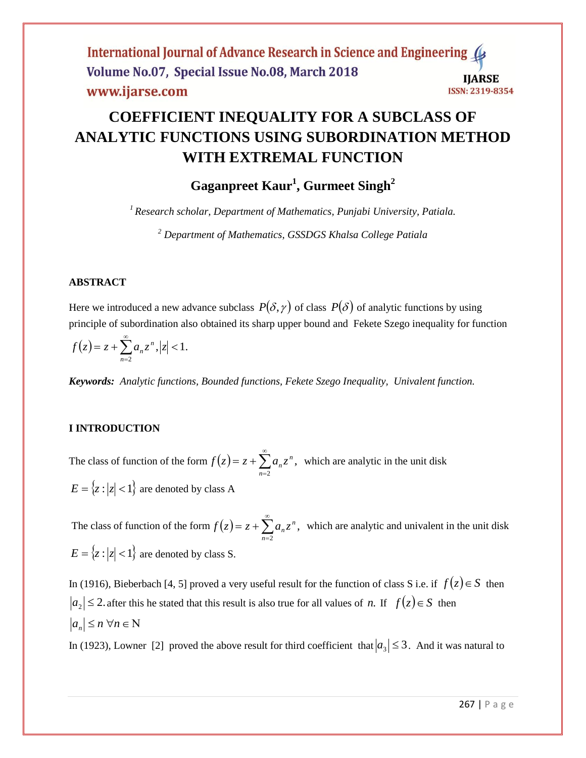

# **COEFFICIENT INEQUALITY FOR A SUBCLASS OF ANALYTIC FUNCTIONS USING SUBORDINATION METHOD WITH EXTREMAL FUNCTION**

## **Gaganpreet Kaur<sup>1</sup> , Gurmeet Singh<sup>2</sup>**

*<sup>1</sup> Research scholar, Department of Mathematics, Punjabi University, Patiala.*

*<sup>2</sup> Department of Mathematics, GSSDGS Khalsa College Patiala*

## **ABSTRACT**

Here we introduced a new advance subclass  $P(\delta, \gamma)$  of class  $P(\delta)$  of analytic functions by using principle of subordination also obtained its sharp upper bound and Fekete Szego inequality for function

$$
f(z) = z + \sum_{n=2}^{\infty} a_n z^n, |z| < 1.
$$

*Keywords: Analytic functions, Bounded functions, Fekete Szego Inequality, Univalent function.*

## **I INTRODUCTION**

The class of function of the form  $f(z) = z + \sum a_n z^n$ ,  $\sum_{n=2}^{\infty}$  $\overline{a}$  $= z +$ *n n*  $f(z) = z + \sum a_n z^n$ , which are analytic in the unit disk  $E = \{z : |z| < 1\}$  are denoted by class A

The class of function of the form  $f(z) = z + \sum a_n z^n$ ,  $\sum_{n=2}^{\infty}$ =  $= z +$ *n n*  $f(z) = z + \sum a_n z^n$ , which are analytic and univalent in the unit disk  $E = \{z : |z| < 1\}$  are denoted by class S.

In (1916), Bieberbach [4, 5] proved a very useful result for the function of class S i.e. if  $f(z) \in S$  then  $a_2 \leq 2$  after this he stated that this result is also true for all values of *n*. If  $f(z) \in S$  then  $|a_n| \le n \ \forall n \in \mathbb{N}$ 

In (1923), Lowner [2] proved the above result for third coefficient that  $|a_3| \leq 3$ . And it was natural to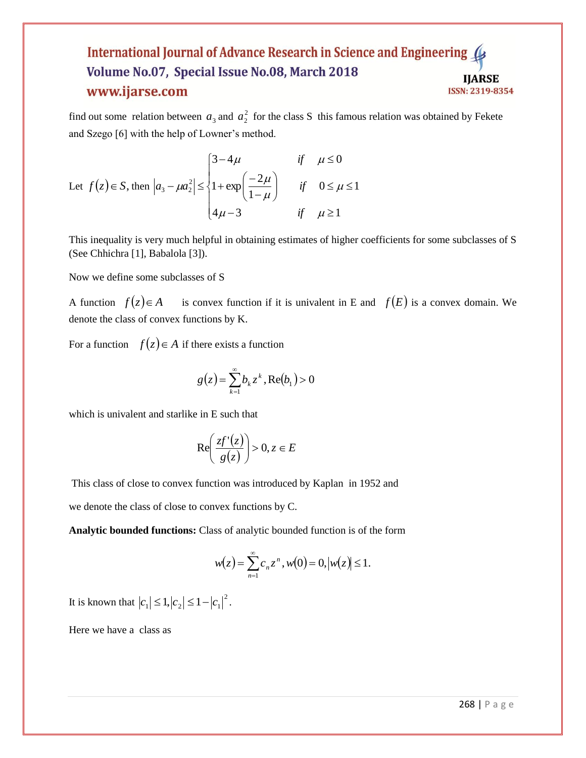#### International Journal of Advance Research in Science and Engineering Volume No.07, Special Issue No.08, March 2018 **IJARSE** www.ijarse.com ISSN: 2319-8354

find out some relation between  $a_3$  and  $a_2^2$  for the class S this famous relation was obtained by Fekete and Szego [6] with the help of Lowner's method.

Let 
$$
f(z) \in S
$$
, then  $|a_3 - \mu a_2^2| \le \begin{cases} 3 - 4\mu & \text{if } \mu \le 0 \\ 1 + \exp\left(\frac{-2\mu}{1 - \mu}\right) & \text{if } 0 \le \mu \le 1 \\ 4\mu - 3 & \text{if } \mu \ge 1 \end{cases}$ 

This inequality is very much helpful in obtaining estimates of higher coefficients for some subclasses of S (See Chhichra [1], Babalola [3]).

Now we define some subclasses of S

A function  $f(z) \in A$  $f(z) \in A$  is convex function if it is univalent in E and  $f(E)$  is a convex domain. We denote the class of convex functions by K.

For a function  $f(z) \in A$  if there exists a function

$$
g(z) = \sum_{k=1}^{\infty} b_k z^k, \text{Re}(b_1) > 0
$$

which is univalent and starlike in E such that

$$
\operatorname{Re}\!\left(\frac{zf'(z)}{g(z)}\right) > 0, z \in E
$$

This class of close to convex function was introduced by Kaplan in 1952 and

we denote the class of close to convex functions by C.

**Analytic bounded functions:** Class of analytic bounded function is of the form

$$
w(z) = \sum_{n=1}^{\infty} c_n z^n, w(0) = 0, |w(z)| \le 1.
$$

It is known that  $|c_1| \le 1, |c_2| \le 1 - |c_1|^2$ .

Here we have a class as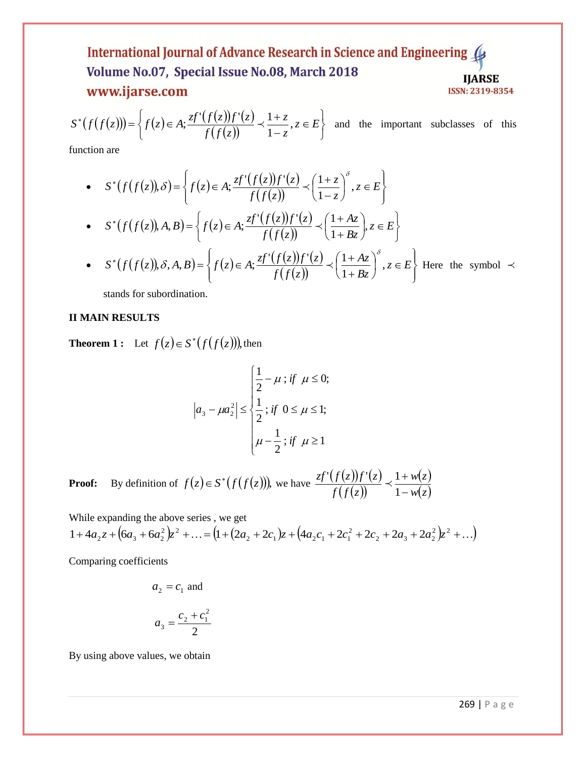### International Journal of Advance Research in Science and Engineering 4 Volume No.07, Special Issue No.08, March 2018 **IJARSE** www.ijarse.com **ISSN: 2319-8354**

$$
S^*(f(f(z))) = \left\{ f(z) \in A; \frac{zf'(f(z))f'(z)}{f(f(z))} \prec \frac{1+z}{1-z}, z \in E \right\} \text{ and the important subclasses of this}
$$

function are

$$
(f(f(z))) = \{f(z) \in A; \frac{\sqrt{f(z)}}{f(f(z))} \times \frac{1-\zeta}{1-z}, z \in E\} \text{ and the important subclasses of this\nection are\n
$$
\int_{S}^{x} (f(f(z)), \delta) = \left\{f(z) \in A; \frac{zf'(f(z))f'(z)}{f(f(z))} \times \left(\frac{1+z}{1-z}\right)^{\delta}, z \in E\right\}
$$
\n
$$
\int_{S}^{x} (f(f(z)), \delta) = \left\{f(z) \in A; \frac{zf'(f(z))f'(z)}{f(f(z))} \times \left(\frac{1+Az}{1+bz}\right)^{\delta}, z \in E\right\}
$$
\n
$$
\int_{S}^{x} (f(f(z)), \delta, A, B) = \left\{f(z) \in A; \frac{zf'(f(z))f'(z)}{f(f(z))} \times \left(\frac{1+Az}{1+bz}\right)^{\delta}, z \in E\right\} \text{ Here the symbol } \times \delta \text{ and for subordination.}
$$
\n
$$
\int_{S}^{x} (f(f(z))) \delta A = \int_{S}^{x} (f(f(z))) \delta A = \int_{S}^{x} (f(f(z))) \delta A = \int_{S}^{x} (f(f(z))) \delta A = \int_{S}^{x} (f(f(z))) \delta A = \int_{S}^{x} (f(f(z))) \delta A = \int_{S}^{x} (f(f(z))) \delta A = \int_{S}^{x} (f(f(z))) \delta A = \int_{S}^{x} (f(f(z))) \delta A = \int_{S}^{x} (f(f(z))) \delta A = \int_{S}^{x} (f(f(z))) \delta A = \int_{S}^{x} (f(f(z))) \delta A = \int_{S}^{x} (f(f(z))) \delta A = \int_{S}^{x} (f(f(z))) \delta A = \int_{S}^{x} (f(f(z))) \delta A = \int_{S}^{x} (f(f(z))) \delta A = \int_{S}^{x} (f(f(z))) \delta A = \int_{S}^{x} (f(f(z))) \delta A = \int_{S}^{x} (f(f(z))) \delta A = \int_{S}^{x} (f(f(z))) \delta A = \int_{S}^{x} (f(f(z))) \delta A = \int_{S}^{x} (f(f(z))) \delta A = \int_{S}^{x} (f(f(z))) \delta A = \int_{S}^{x} (f(f(z))) \delta A = \int_{S}^{x} (f(f(z)))
$$
$$

stands for subordination.

## **II MAIN RESULTS**

**Theorem 1** : Let  $f(z) \in S^*(f(f(z)))$ , then

$$
\left| a_3 - \mu a_2^2 \right| \le \begin{cases} \frac{1}{2} - \mu \text{ ; if } \mu \le 0; \\ \frac{1}{2} \text{ ; if } 0 \le \mu \le 1; \\ \mu - \frac{1}{2} \text{ ; if } \mu \ge 1 \end{cases}
$$

**Proof:** By definition of  $f(z) \in S^*(f(f(z)))$ , we have  $\frac{zf'(f(z))f'(z)}{z'(z)(z)}$  $(f(z))$  $(z)$ *wz w z f f z zf f z f z*  $\overline{a}$  $\ddot{}$ 1  $\frac{f'(f(z))f'(z)}{f'(z)} \prec \frac{1}{z}$ 

While expanding the above series , we get  $+4a_2z+6a_3+6a_2^2)z^2+\ldots = (1+(2a_2+2c_1)z+(4a_2c_1+2c_1^2+2c_2+2a_3+2a_2^2)z^2+\ldots)$  $_2$  +  $2u_3$  +  $2u_2$ 2 2  $\tau$  2  $\tau$  1  $\mu$   $\tau$   $($   $+\mu$  2  $\tau$   $\tau$  2  $\tau$  1  $1 + 4a_2z + 6a_3^2z^2 + \ldots = (1 + (2a_2 + 2c_1)z + (4a_2c_1 + 2c_1^2 + 2c_2 + 2a_3 + 2a_2^2)z$ 

Comparing coefficients

$$
a_2 = c_1
$$
 and  

$$
a_3 = \frac{c_2 + c_1^2}{2}
$$

By using above values, we obtain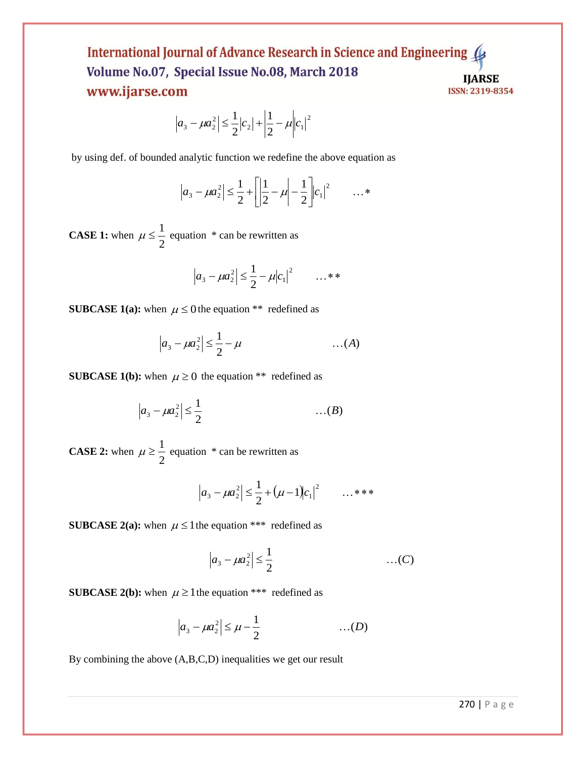## International Journal of Advance Research in Science and Engineering Volume No.07, Special Issue No.08, March 2018 **IJARSE** www.ijarse.com ISSN: 2319-8354

$$
\left| a_3 - \mu a_2^2 \right| \le \frac{1}{2} |c_2| + \left| \frac{1}{2} - \mu \right| |c_1|^2
$$

by using def. of bounded analytic function we redefine the above equation as

$$
|a_3 - \mu a_2^2| \leq \frac{1}{2} + \left| \frac{1}{2} - \mu \right| - \frac{1}{2} \left| c_1 \right|^2 \qquad \dots^*
$$

**CASE 1:** when 2  $\mu \leq \frac{1}{2}$  equation \* can be rewritten as

$$
|a_3 - \mu a_2^2| \leq \frac{1}{2} - \mu |c_1|^2 \qquad \dots * *
$$

**SUBCASE 1(a):** when  $\mu \le 0$  the equation \*\* redefined as

$$
|a_3 - \mu a_2^2| \leq \frac{1}{2} - \mu \qquad \qquad \dots (A)
$$

**SUBCASE 1(b):** when  $\mu \ge 0$  the equation \*\* redefined as

$$
\left|a_3 - \mu a_2^2\right| \leq \frac{1}{2} \qquad \qquad \dots (B)
$$

**CASE 2:** when 2  $\mu \geq \frac{1}{2}$  equation \* can be rewritten as

$$
|a_3 - \mu a_2^2| \leq \frac{1}{2} + (\mu - 1)|c_1|^2 \qquad \dots \ast \ast \ast
$$

**SUBCASE 2(a):** when  $\mu \leq 1$  the equation \*\*\* redefined as

$$
|a_3 - \mu a_2^2| \le \frac{1}{2}
$$
 ... (C)

**SUBCASE 2(b):** when  $\mu \ge 1$  the equation \*\*\* redefined as

$$
|a_3 - \mu a_2^2| \le \mu - \frac{1}{2} \quad \dots (D)
$$

By combining the above (A,B,C,D) inequalities we get our result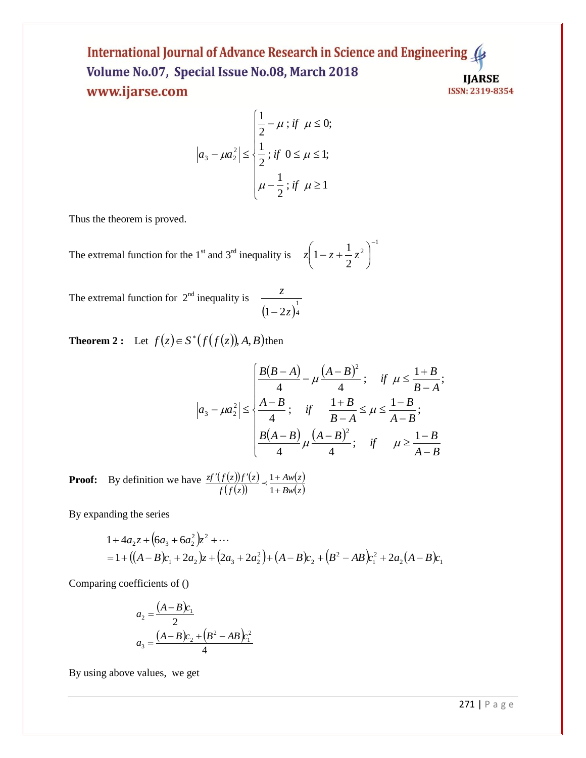International Journal of Advance Research in Science and Engineering ( Volume No.07, Special Issue No.08, March 2018 **IJARSE** www.ijarse.com ISSN: 2319-8354

$$
|a_3 - \mu a_2^2| \le \begin{cases} \frac{1}{2} - \mu \text{ ; if } \mu \le 0; \\ \frac{1}{2} \text{ ; if } 0 \le \mu \le 1; \\ \mu - \frac{1}{2} \text{ ; if } \mu \ge 1 \end{cases}
$$

Thus the theorem is proved.

The extremal function for the  $1<sup>st</sup>$  and  $3<sup>rd</sup>$  inequality is 1 2 2  $1-z+\frac{1}{z}$  $\overline{a}$  $\overline{\phantom{a}}$ J  $\left(1-z+\frac{1}{2}z^2\right)$  $\setminus$  $z\left(1-z+\frac{1}{z}\right)$ 

The extremal function for  $2<sup>nd</sup>$  inequality is  $(1-2z)^{\frac{1}{4}}$ *z*  $\overline{a}$ 

**Theorem 2 :** Let  $f(z) \in S^*(f(f(z)), A, B)$  then

$$
\left| a_3 - \mu a_2^2 \right| \le \begin{cases} \frac{B(B-A)}{4} - \mu \frac{(A-B)^2}{4} ; & \text{if } \mu \le \frac{1+B}{B-A}; \\ \frac{A-B}{4} ; & \text{if } \frac{1+B}{B-A} \le \mu \le \frac{1-B}{A-B}; \\ \frac{B(A-B)}{4} \mu \frac{(A-B)^2}{4} ; & \text{if } \mu \ge \frac{1-B}{A-B} \end{cases}
$$

**Proof:** By definition we have  $\mathcal{I}'(f(z))f'(z)$  $(f(z))$  $(z)$ *Bwz Aw z f f z zf f z f z*  $\ddot{}$  $'(f(z))f'(z)$  1+ 1  $\prec \frac{1}{1}$ 

By expanding the series

$$
1 + 4a_2 z + (6a_3 + 6a_2^2)z^2 + \cdots
$$
  
= 1 + ((A - B)c\_1 + 2a\_2)z + (2a\_3 + 2a\_2^2) + (A - B)c\_2 + (B^2 - AB)c\_1^2 + 2a\_2(A - B)c\_1

Comparing coefficients of ()

$$
a_2 = \frac{(A-B)c_1}{2}
$$
  

$$
a_3 = \frac{(A-B)c_2 + (B^2 - AB)c_1^2}{4}
$$

By using above values, we get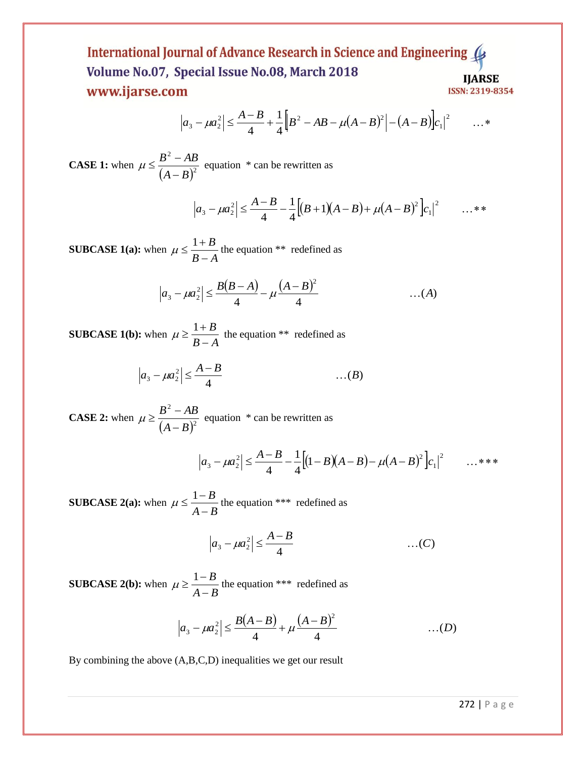## International Journal of Advance Research in Science and Engineering Volume No.07, Special Issue No.08, March 2018 **IJARSE** www.ijarse.com ISSN: 2319-8354

$$
\left| a_3 - \mu a_2^2 \right| \le \frac{A-B}{4} + \frac{1}{4} \left[ B^2 - AB - \mu (A-B)^2 \right] - (A-B) \left| c_1 \right|^2 \qquad \dots*
$$

**CASE 1:** when  $(A-B)^2$ 2  $A - B$  $B^2 - AB$ - $\mu \leq \frac{B^2 - AB}{\mu}$  equation \* can be rewritten as

 $|a_3 - \mu a_2^2| \leq \frac{A-B}{A} - \frac{1}{2} [(B+1)(A-B) + \mu (A-B)^2] c_1|^2$  ...\*\* 1  $\left| \mu a_2^2 \right| \leq \frac{A-B}{4} - \frac{1}{4} \left[ (B+1)(A-B) + \mu (A-B)^2 \right]$ 1 4  $|a_3 - \mu a_2^2| \leq \frac{A-B}{A} - \frac{1}{2} [(B+1)(A-B) + \mu (A-B)^2] c$ 

**SUBCASE 1(a):** when  $B - A$ *B* - $\mu \leq \frac{1+B}{2}$  the equation \*\* redefined as

$$
\left| a_3 - \mu a_2^2 \right| \le \frac{B(B-A)}{4} - \mu \frac{(A-B)^2}{4} \qquad \qquad \dots (A)
$$

**SUBCASE 1(b):** when  $B - A$ *B* - $\mu \geq \frac{1+B}{2}$  the equation \*\* redefined as

$$
\left|a_3 - \mu a_2^2\right| \leq \frac{A-B}{4} \qquad \qquad \dots (B)
$$

**CASE 2:** when  $(A-B)^2$ 2  $A - B$  $B^2 - AB$ - $\mu \geq \frac{B^2 - AB}{\sqrt{2}}$  equation \* can be rewritten as

$$
\left| a_3 - \mu a_2^2 \right| \le \frac{A-B}{4} - \frac{1}{4} \left[ (1-B)(A-B) - \mu (A-B)^2 \right] c_1 \big|^2 \qquad \dots \ast \ast \ast
$$

**SUBCASE 2(a):** when  $A - B$ *B* - $\mu \leq \frac{1-B}{1-\mu}$  the equation \*\*\* redefined as

$$
|a_3 - \mu a_2^2| \le \frac{A - B}{4}
$$
 ... (C)

**SUBCASE 2(b):** when  $A - B$ *B* - $\mu \geq \frac{1-B}{1}$  the equation \*\*\* redefined as

$$
\left| a_3 - \mu a_2^2 \right| \le \frac{B(A-B)}{4} + \mu \frac{(A-B)^2}{4} \qquad \qquad \dots(D)
$$

By combining the above (A,B,C,D) inequalities we get our result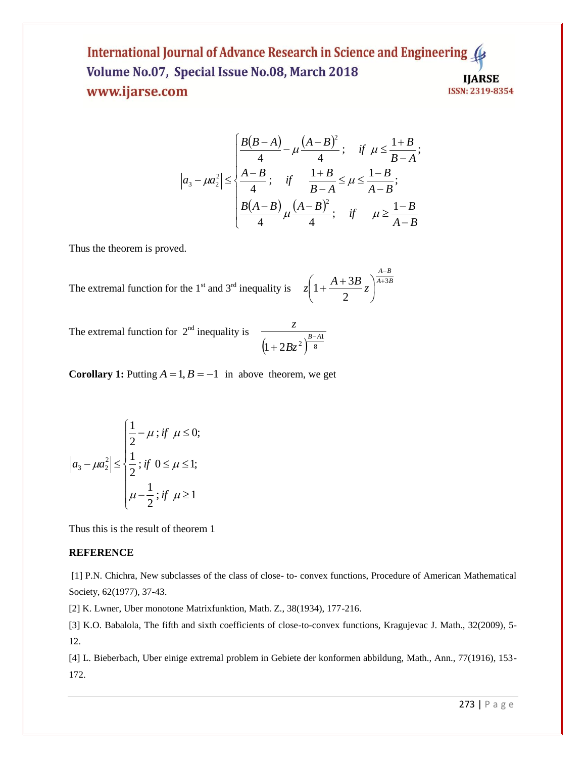### International Journal of Advance Research in Science and Engineering 4 Volume No.07, Special Issue No.08, March 2018 **IJARSE** www.ijarse.com ISSN: 2319-8354

$$
\left| a_3 - \mu a_2^2 \right| \le \begin{cases} \frac{B(B-A)}{4} - \mu \frac{(A-B)^2}{4} ; & \text{if } \mu \le \frac{1+B}{B-A}; \\ \frac{A-B}{4} ; & \text{if } \frac{1+B}{B-A} \le \mu \le \frac{1-B}{A-B}; \\ \frac{B(A-B)}{4} \mu \frac{(A-B)^2}{4} ; & \text{if } \mu \ge \frac{1-B}{A-B} \end{cases}
$$

Thus the theorem is proved.

The extremal function for the 1<sup>st</sup> and 3<sup>rd</sup> inequality is 
$$
z\left(1 + \frac{A + 3B}{2}z\right)^{\frac{A-B}{A+3B}}
$$

The extremal function for  $2<sup>nd</sup>$  inequality is

$$
\frac{z}{\left(1+2Bz^2\right)^{B-A1}}
$$

**Corollary 1:** Putting  $A = 1, B = -1$  in above theorem, we get

$$
|a_3 - \mu a_2^2| \le \begin{cases} \frac{1}{2} - \mu \text{ ; if } \mu \le 0; \\ \frac{1}{2} \text{ ; if } 0 \le \mu \le 1; \\ \mu - \frac{1}{2} \text{ ; if } \mu \ge 1 \end{cases}
$$

Thus this is the result of theorem 1

## **REFERENCE**

[1] P.N. Chichra, New subclasses of the class of close- to- convex functions, Procedure of American Mathematical Society, 62(1977), 37-43.

[2] K. Lwner, Uber monotone Matrixfunktion, Math. Z., 38(1934), 177-216.

[3] K.O. Babalola, The fifth and sixth coefficients of close-to-convex functions, Kragujevac J. Math., 32(2009), 5- 12.

[4] L. Bieberbach, Uber einige extremal problem in Gebiete der konformen abbildung, Math., Ann., 77(1916), 153- 172.